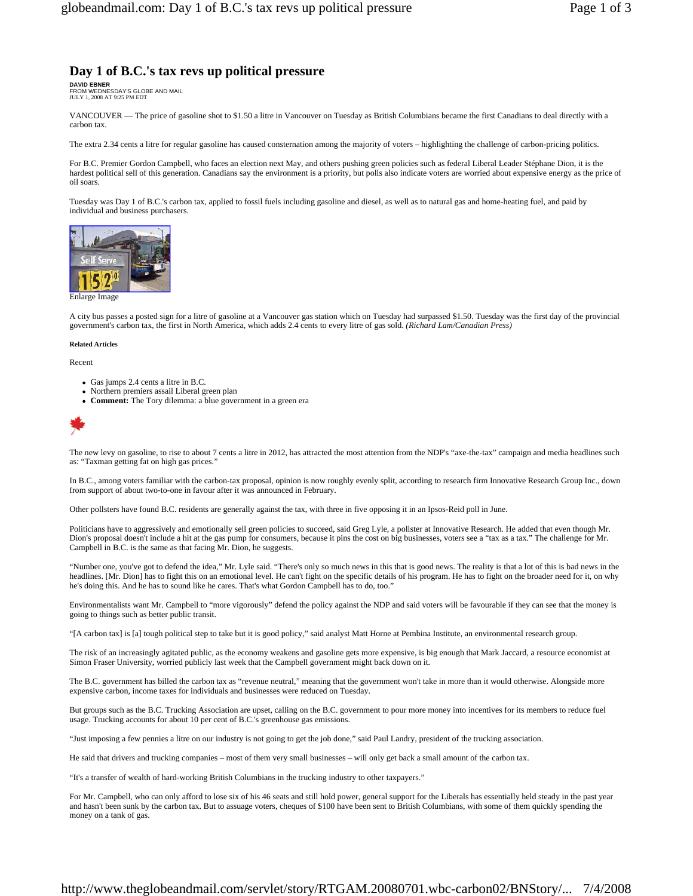# **Day 1 of B.C.'s tax revs up political pressure**

**DAVID EBNER**  FROM WEDNESDAY'S GLOBE AND MAIL JULY 1, 2008 AT 9:25 PM EDT

VANCOUVER — The price of gasoline shot to \$1.50 a litre in Vancouver on Tuesday as British Columbians became the first Canadians to deal directly with a carbon tax.

The extra 2.34 cents a litre for regular gasoline has caused consternation among the majority of voters – highlighting the challenge of carbon-pricing politics.

For B.C. Premier Gordon Campbell, who faces an election next May, and others pushing green policies such as federal Liberal Leader Stéphane Dion, it is the hardest political sell of this generation. Canadians say the environment is a priority, but polls also indicate voters are worried about expensive energy as the price of oil soars.

Tuesday was Day 1 of B.C.'s carbon tax, applied to fossil fuels including gasoline and diesel, as well as to natural gas and home-heating fuel, and paid by individual and business purchasers.



Enlarge Image

A city bus passes a posted sign for a litre of gasoline at a Vancouver gas station which on Tuesday had surpassed \$1.50. Tuesday was the first day of the provincial government's carbon tax, the first in North America, which adds 2.4 cents to every litre of gas sold. *(Richard Lam/Canadian Press)*

#### **Related Articles**

Recent

- Gas jumps 2.4 cents a litre in B.C.
- Northern premiers assail Liberal green plan
- <sup>z</sup> **Comment:** The Tory dilemma: a blue government in a green era



The new levy on gasoline, to rise to about 7 cents a litre in 2012, has attracted the most attention from the NDP's "axe-the-tax" campaign and media headlines such as: "Taxman getting fat on high gas prices."

In B.C., among voters familiar with the carbon-tax proposal, opinion is now roughly evenly split, according to research firm Innovative Research Group Inc., down from support of about two-to-one in favour after it was announced in February.

Other pollsters have found B.C. residents are generally against the tax, with three in five opposing it in an Ipsos-Reid poll in June.

Politicians have to aggressively and emotionally sell green policies to succeed, said Greg Lyle, a pollster at Innovative Research. He added that even though Mr. Dion's proposal doesn't include a hit at the gas pump for consumers, because it pins the cost on big businesses, voters see a "tax as a tax." The challenge for Mr. Campbell in B.C. is the same as that facing Mr. Dion, he suggests.

"Number one, you've got to defend the idea," Mr. Lyle said. "There's only so much news in this that is good news. The reality is that a lot of this is bad news in the headlines. [Mr. Dion] has to fight this on an emotional level. He can't fight on the specific details of his program. He has to fight on the broader need for it, on why he's doing this. And he has to sound like he cares. That's what Gordon Campbell has to do, too."

Environmentalists want Mr. Campbell to "more vigorously" defend the policy against the NDP and said voters will be favourable if they can see that the money is going to things such as better public transit.

"[A carbon tax] is [a] tough political step to take but it is good policy," said analyst Matt Horne at Pembina Institute, an environmental research group.

The risk of an increasingly agitated public, as the economy weakens and gasoline gets more expensive, is big enough that Mark Jaccard, a resource economist at Simon Fraser University, worried publicly last week that the Campbell government might back down on it.

The B.C. government has billed the carbon tax as "revenue neutral," meaning that the government won't take in more than it would otherwise. Alongside more expensive carbon, income taxes for individuals and businesses were reduced on Tuesday.

But groups such as the B.C. Trucking Association are upset, calling on the B.C. government to pour more money into incentives for its members to reduce fuel usage. Trucking accounts for about 10 per cent of B.C.'s greenhouse gas emissions.

"Just imposing a few pennies a litre on our industry is not going to get the job done," said Paul Landry, president of the trucking association.

He said that drivers and trucking companies – most of them very small businesses – will only get back a small amount of the carbon tax.

"It's a transfer of wealth of hard-working British Columbians in the trucking industry to other taxpayers."

For Mr. Campbell, who can only afford to lose six of his 46 seats and still hold power, general support for the Liberals has essentially held steady in the past year and hasn't been sunk by the carbon tax. But to assuage voters, cheques of \$100 have been sent to British Columbians, with some of them quickly spending the money on a tank of gas.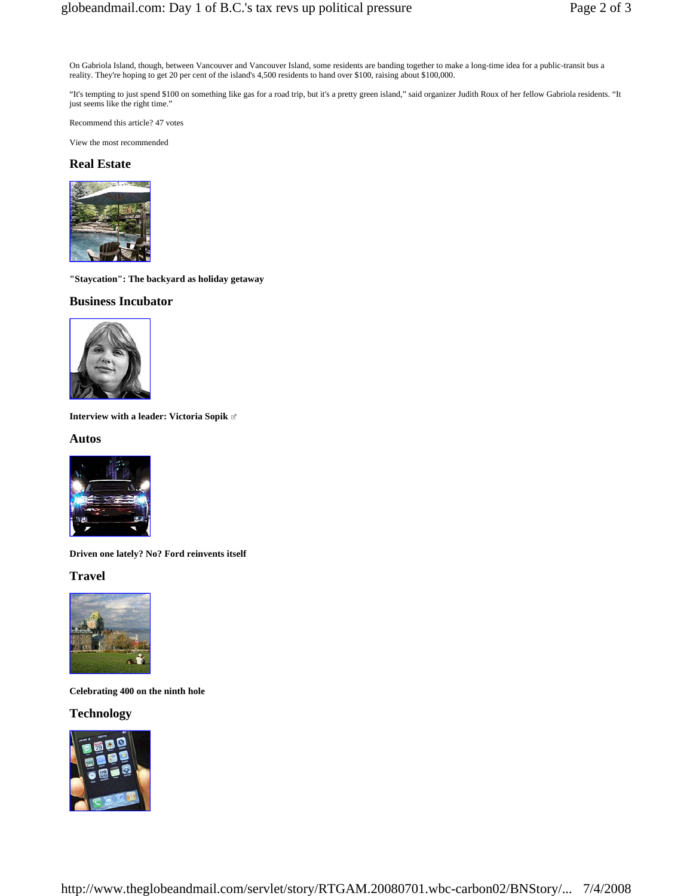On Gabriola Island, though, between Vancouver and Vancouver Island, some residents are banding together to make a long-time idea for a public-transit bus a reality. They're hoping to get 20 per cent of the island's 4,500 residents to hand over \$100, raising about \$100,000.

"It's tempting to just spend \$100 on something like gas for a road trip, but it's a pretty green island," said organizer Judith Roux of her fellow Gabriola residents. "It just seems like the right time."

Recommend this article? 47 votes

View the most recommended

#### **Real Estate**



**"Staycation": The backyard as holiday getaway** 

### **Business Incubator**



**Interview with a leader: Victoria Sopik** 

#### **Autos**



**Driven one lately? No? Ford reinvents itself** 

## **Travel**



**Celebrating 400 on the ninth hole** 

### **Technology**